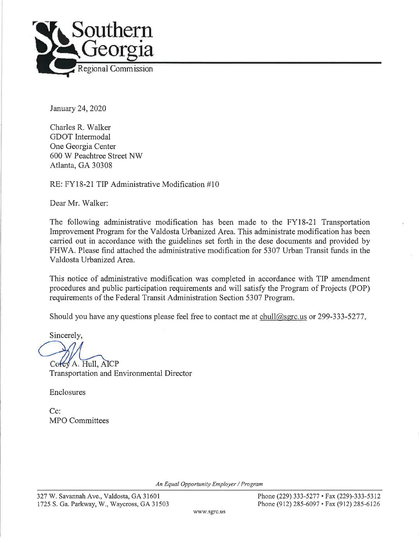

January 24, 2020

Charles R. Walker GDOT Intermodal One Georgia Center 600 W Peachtree Street NW Atlanta, GA 30308

RE: FY18-21 TIP Administrative Modification #10

Dear Mr. Walker:

The following administrative modification has been made to the FY18-21 Transportation Improvement Program for the Valdosta Urbanized Area. This administrate modification has been carried out in accordance with the guidelines set forth in the dese documents and provided by FHWA. Please find attached the administrative modification for 5307 Urban Transit funds in the Valdosta Urbanized Area.

This notice of administrative modification was completed in accordance with TIP amendment procedures and public participation requirements and will satisfy the Program of Projects (POP) requirements of the Federal Transit Administration Section 5307 Program.

Should you have any questions please feel free to contact me at chull@sgrc.us or 299-333-5277.

Sincerely,

Corey A. Hull, AICP **Transportation and Environmental Director** 

Enclosures

 $C_{\mathbb{C}}$ : MPO Committees

An Equal Opportunity Employer / Program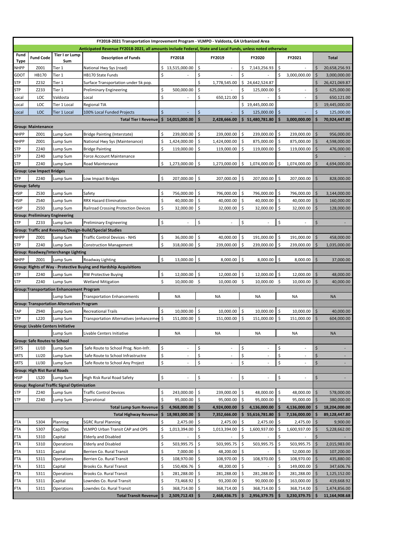| FY2018-2021 Transportation Improvement Program - VLMPO - Valdosta, GA Urbanized Area                        |                                       |                                                    |                                                                    |         |                 |                     |                |     |                    |         |                          |                     |                          |
|-------------------------------------------------------------------------------------------------------------|---------------------------------------|----------------------------------------------------|--------------------------------------------------------------------|---------|-----------------|---------------------|----------------|-----|--------------------|---------|--------------------------|---------------------|--------------------------|
| Anticipated Revenue FY2018-2021, all amounts include Federal, State and Local Funds, unless noted otherwise |                                       |                                                    |                                                                    |         |                 |                     |                |     |                    |         |                          |                     |                          |
| Fund<br>Type                                                                                                | <b>Fund Code</b>                      | <b>Tier I or Lump</b><br>Sum                       | <b>Description of Funds</b>                                        |         | FY2018          |                     | FY2019         |     | FY2020             |         | FY2021                   |                     | Total                    |
| NHPP                                                                                                        | Z001                                  | Tier 1                                             | National Hwy Sys (road)                                            | \$      | 13,515,000.00   | \$                  | $\sim$         | \$  | 7,143,256.93       | \$      |                          | \$                  | 20,658,256.93            |
| GDOT                                                                                                        | HB170                                 | Tier 1                                             | HB170 State Funds                                                  | \$      |                 | \$                  |                | \$  |                    | \$      | 3,000,000.00             | \$                  | 3,000,000.00             |
| STP                                                                                                         | Z232                                  | Tier 1                                             | Surface Transportation under 5k pop.                               |         |                 | \$                  | 1,778,545.00   | \$  | 24,642,524.87      |         |                          | S                   | 26,421,069.87            |
| STP                                                                                                         | Z233                                  | Tier 1                                             | <b>Preliminary Engineering</b>                                     | \$      | 500,000.00      | Ś                   |                | Ś   | 125,000.00         | \$      |                          | Ś                   | 625,000.00               |
| Local                                                                                                       | LOC                                   | Valdosta                                           | Local                                                              | \$      |                 | \$                  | 650,121.00     | \$  |                    | \$      |                          | \$                  | 650,121.00               |
| Local                                                                                                       | LOC                                   | Tier 1 Local                                       | <b>Regional TIA</b>                                                |         |                 |                     |                | \$  | 19,445,000.00      |         |                          | Ś                   | 19,445,000.00            |
| Local                                                                                                       | LOC                                   | <b>Tier 1 Local</b>                                | 100% Local Funded Projects                                         | $\zeta$ |                 | \$                  |                | Ŝ.  | 125,000.00         | $\zeta$ |                          | \$                  | 125,000.00               |
|                                                                                                             |                                       |                                                    | <b>Total Tier I Revenue</b>                                        |         | \$14,015,000.00 | Ś                   | 2,428,666.00   |     | \$5, 51,480,781.80 | \$      | 3,000,000.00             | \$                  | 70,924,447.80            |
|                                                                                                             | <b>Group: Maintenance</b>             |                                                    |                                                                    |         |                 |                     |                |     |                    |         |                          |                     |                          |
| NHPP                                                                                                        | Z001                                  | Lump Sum                                           | <b>Bridge Painting (Interstate)</b>                                | \$      | 239,000.00      | \$                  | 239,000.00     | \$  | 239,000.00         | \$      | 239,000.00               | $\dot{\mathsf{s}}$  | 956,000.00               |
| NHPP                                                                                                        | Z001                                  | Lump Sum                                           | National Hwy Sys (Maintenance)                                     | \$      | 1,424,000.00    | \$                  | 1,424,000.00   | \$  | 875,000.00         | \$      | 875,000.00               | \$                  | 4,598,000.00             |
| STP                                                                                                         | Z240                                  | Lump Sum                                           | <b>Bridge Painting</b>                                             | \$      | 119,000.00      | \$                  | 119,000.00     | \$  | 119,000.00         | \$      | 119,000.00               | \$                  | 476,000.00               |
| STP                                                                                                         | Z240                                  | Lump Sum                                           | Force Account Maintenance                                          |         |                 |                     |                |     |                    |         |                          | Ś                   |                          |
| STP                                                                                                         | Z240                                  | Lump Sum                                           | Road Maintenance                                                   | \$      | 1,273,000.00    | \$                  | 1,273,000.00   | Ŝ.  | 1,074,000.00       | \$      | 1,074,000.00             | \$                  | 4,694,000.00             |
|                                                                                                             | <b>Group: Low Impact Bridges</b>      |                                                    |                                                                    |         |                 |                     |                |     |                    |         |                          |                     |                          |
| STP                                                                                                         | Z240                                  | Lump Sum                                           | Low Impact Bridges                                                 | \$      | 207,000.00      | \$                  | 207,000.00     | -\$ | 207,000.00         | \$      | 207,000.00               | \$                  | 828,000.00               |
| <b>Group: Safety</b>                                                                                        |                                       |                                                    |                                                                    |         |                 |                     |                |     |                    |         |                          |                     |                          |
| HSIP                                                                                                        | ZS30                                  | Lump Sum                                           | Safety                                                             | \$      | 756,000.00      | \$                  | 796,000.00     | \$  | 796,000.00         | \$      | 796,000.00               | \$                  | 3,144,000.00             |
| HSIP                                                                                                        | ZS40                                  | Lump Sum                                           | <b>RRX Hazard Elimination</b>                                      | Ŝ.      | 40,000.00       | \$                  | 40,000.00      | Ś.  | 40,000.00          | \$      | 40,000.00                | \$                  | 160,000.00               |
| HSIP                                                                                                        | <b>ZS50</b>                           | Lump Sum                                           | Railroad Crossing Protection Devices                               | \$      | 32.000.00       | \$                  | 32,000.00      | \$  | 32,000.00          | \$      | 32,000.00                | $\dot{\mathsf{S}}$  | 128,000.00               |
|                                                                                                             | <b>Group: Preliminary Engineering</b> |                                                    |                                                                    |         |                 |                     |                |     |                    |         |                          |                     |                          |
| <b>STP</b>                                                                                                  | Z233                                  | Lump Sum                                           | <b>Preliminary Engineering</b>                                     | \$      | $\overline{a}$  | \$                  | $\overline{a}$ | \$  | $\sim$             | \$      | $\overline{\phantom{a}}$ | Ś                   |                          |
|                                                                                                             |                                       |                                                    | Group: Traffic and Revenue/Design-Build/Special Studies            |         |                 |                     |                |     |                    |         |                          |                     |                          |
| <b>NHPP</b>                                                                                                 | Z001                                  | Lump Sum                                           | <b>Traffic Control Devices - NHS</b>                               | \$      | 36,000.00       | \$                  | 40,000.00      | \$  | 191,000.00         | \$      | 191,000.00               | \$                  | 458,000.00               |
| STP                                                                                                         | Z240                                  | Lump Sum                                           | <b>Construction Management</b>                                     | \$      | 318,000.00      | \$                  | 239,000.00     | \$  | 239,000.00         | \$      | 239,000.00               | \$                  | 1,035,000.00             |
|                                                                                                             |                                       | Group: Roadway/Interchange Lighting                |                                                                    |         |                 |                     |                |     |                    |         |                          |                     |                          |
| <b>NHPP</b>                                                                                                 | Z001                                  | Lump Sum                                           | Roadway Lighting                                                   | \$      | 13,000.00       | \$                  | 8,000.00       | \$  | 8,000.00           | ۱\$     | 8,000.00                 | \$                  | 37,000.00                |
|                                                                                                             |                                       |                                                    | Group: Rights of Way - Protective Buying and Hardship Acquisitions |         |                 |                     |                |     |                    |         |                          |                     |                          |
| STP                                                                                                         | Z240                                  | Lump Sum                                           | <b>RW Protective Buying</b>                                        | \$      | 12,000.00       | \$                  | 12,000.00      | Ś.  | 12,000.00          | \$      | 12,000.00                | \$                  | 48,000.00                |
| STP                                                                                                         | Z240                                  | Lump Sum                                           | <b>Wetland Mitigation</b>                                          | \$      | 10,000.00       | -\$                 | 10,000.00      | Ŝ.  | 10,000.00 \$       |         | 10,000.00                | \$                  | 40,000.00                |
|                                                                                                             |                                       | <b>Group: Transportation Enhancement Program</b>   |                                                                    |         |                 |                     |                |     |                    |         |                          |                     |                          |
|                                                                                                             |                                       | Lump Sum                                           | <b>Transportation Enhancements</b>                                 |         | <b>NA</b>       |                     | <b>NA</b>      |     | <b>NA</b>          |         | NA                       |                     | <b>NA</b>                |
|                                                                                                             |                                       | <b>Group: Transportation Alternatives Program</b>  |                                                                    |         |                 |                     |                |     |                    |         |                          |                     |                          |
| TAP                                                                                                         | Z940                                  | Lump Sum                                           | <b>Recreational Trails</b>                                         | Ŝ.      | 10,000.00       | \$                  | 10,000.00      | Ŝ.  | 10,000.00          | \$      | 10,000.00                | \$                  | 40,000.00                |
| STP                                                                                                         | L220                                  | Lump Sum                                           | Transportation Alternatives (enhancemen \$                         |         | 151,000.00      | \$                  | 151,000.00     | Ŝ   | 151,000.00         | \$      | 151.000.00               | Ś                   | 604,000.00               |
|                                                                                                             |                                       | <b>Group: Livable Centers Initiative</b>           |                                                                    |         |                 |                     |                |     |                    |         |                          |                     |                          |
|                                                                                                             |                                       | Lump Sum                                           | Livable Centers Initiative                                         |         | <b>NA</b>       |                     | <b>NA</b>      |     | NA                 |         | NA                       |                     | <b>NA</b>                |
|                                                                                                             | <b>Group: Safe Routes to School</b>   |                                                    |                                                                    |         |                 |                     |                |     |                    |         |                          |                     |                          |
| SRTS                                                                                                        | LU10                                  | Lump Sum                                           | Safe Route to School Prog. Non-Infr.                               | \$      | $\blacksquare$  | \$                  |                | \$  | $\blacksquare$     | \$      |                          | Ś                   |                          |
| SRTS                                                                                                        | LU20                                  | Lump Sum                                           | Safe Route to School Infrastructre                                 | \$      | $\blacksquare$  | \$                  | $\sim$         | \$  | $\blacksquare$     | \$      | $\overline{\phantom{a}}$ | \$                  |                          |
| SRTS                                                                                                        | LU30                                  | Lump Sum                                           | Safe Route to School Any Project                                   | \$      | $\blacksquare$  | \$                  | ä,             | \$  | $\blacksquare$     | \$      | $\overline{\phantom{a}}$ | Ś                   | $\overline{\phantom{a}}$ |
|                                                                                                             | <b>Group: High Rist Rural Roads</b>   |                                                    |                                                                    |         |                 |                     |                |     |                    |         |                          |                     |                          |
| HSIP                                                                                                        | LS20                                  | Lump Sum                                           | High Risk Rural Road Safety                                        | \$      |                 | \$                  |                | \$  |                    | \$      |                          | \$                  |                          |
|                                                                                                             |                                       | <b>Group: Regional Traffic Signal Optimization</b> |                                                                    |         |                 |                     |                |     |                    |         |                          |                     |                          |
| STP                                                                                                         | Z240                                  | Lump Sum                                           | <b>Traffic Control Devices</b>                                     | \$      | 243,000.00      | \$                  | 239,000.00     | \$  | 48,000.00          | \$      | 48,000.00                | $\mathsf{\hat{S}}$  | 578,000.00               |
|                                                                                                             | Z240                                  |                                                    |                                                                    | \$      |                 | \$                  |                | \$  |                    | \$      |                          | $\zeta$             |                          |
| STP                                                                                                         |                                       | Lump Sum                                           | Operational<br><b>Total Lump Sum Revenue</b>                       | \$      | 95,000.00       |                     | 95,000.00      |     | 95,000.00          | Ś       | 95,000.00                | \$                  | 380,000.00               |
|                                                                                                             |                                       |                                                    |                                                                    |         | 4,968,000.00    | \$<br>\$            | 4,924,000.00   | Ś   | 4,136,000.00       | Ś       | 4,136,000.00             |                     | 18,204,000.00            |
|                                                                                                             | 5304                                  | Planning                                           | <b>Total Highway Revenue</b><br><b>SGRC Rural Planning</b>         | \$<br>Ś | 18,983,000.00   | \$                  | 7,352,666.00   | Ś   | 55,616,781.80      | \$      | 7,136,000.00             | \$<br>\$            | 89,128,447.80            |
| FTA                                                                                                         |                                       |                                                    |                                                                    |         | 2,475.00        |                     | 2,475.00       |     | 2,475.00           |         | 2,475.00                 |                     | 9,900.00                 |
| FTA                                                                                                         | 5307                                  | Cap/Ops                                            | VLMPO Urban Transit CAP and OPS                                    | \$      | 1,013,394.00    | \$                  | 1,013,394.00   | \$. | 1,600,937.00       | \$      | 1,600,937.00             | $\zeta$             | 5,228,662.00             |
| FTA                                                                                                         | 5310                                  | Capital                                            | <b>Elderly and Disabled</b>                                        | \$      |                 | \$                  |                | \$  |                    | \$      |                          | \$                  |                          |
| FTA                                                                                                         | 5310                                  | Operations                                         | <b>Elderly and Disabled</b>                                        | \$      | 503,995.75      | \$                  | 503,995.75     | \$  | 503,995.75         | \$      | 503,995.75               | -\$                 | 2,015,983.00             |
| FTA                                                                                                         | 5311                                  | Capital                                            | Berrien Co. Rural Transit                                          | \$      | 7,000.00        | \$                  | 48,200.00      | Ŝ.  |                    | \$      | 52,000.00                | -\$                 | 107,200.00               |
| FTA                                                                                                         | 5311                                  | Operations                                         | Berrien Co. Rural Transit                                          | \$      | 108,970.00      | \$                  | 108,970.00     | \$  | 108,970.00         | \$      | 108,970.00               | $\ddot{\mathsf{S}}$ | 435,880.00               |
| FTA                                                                                                         | 5311                                  | Capital                                            | Brooks Co. Rural Transit                                           | \$      | 150,406.76      | $\ddot{\mathsf{S}}$ | 48,200.00      | \$  |                    | \$      | 149,000.00               | -\$                 | 347,606.76               |
| FTA                                                                                                         | 5311                                  | Operations                                         | Brooks Co. Rural Transit                                           | \$      | 281,288.00      | \$                  | 281,288.00     | \$  | 281,288.00         | \$      | 281,288.00               | $\ddot{\mathsf{S}}$ | 1,125,152.00             |
| FTA                                                                                                         | 5311                                  | Capital                                            | Lowndes Co. Rural Transit                                          | \$      | 73,468.92       | \$                  | 93,200.00      | \$  | 90,000.00          | \$      | 163,000.00               | S.                  | 419,668.92               |
| -TA                                                                                                         | 5311                                  | Operations                                         | Lowndes Co. Rural Transit                                          | \$      | 368,714.00      | \$.                 | 368,714.00     | \$  | 368,714.00         | \$      | 368,714.00               | S.                  | 1,474,856.00             |
|                                                                                                             |                                       |                                                    | <b>Total Transit Revenue</b>                                       | \$      | 2,509,712.43    | \$                  | 2,468,436.75   | \$  | 2,956,379.75       | Ś       | 3,230,379.75             | \$                  | 11,164,908.68            |